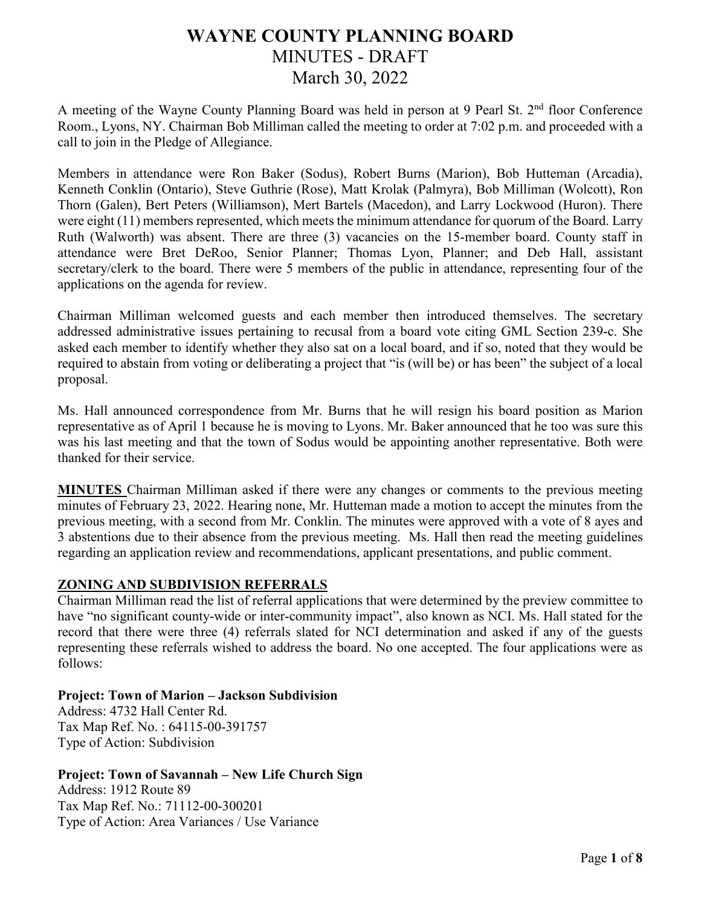# **WAYNE COUNTY PLANNING BOARD** MINUTES - DRAFT March 30, 2022

A meeting of the Wayne County Planning Board was held in person at 9 Pearl St. 2<sup>nd</sup> floor Conference Room., Lyons, NY. Chairman Bob Milliman called the meeting to order at 7:02 p.m. and proceeded with a call to join in the Pledge of Allegiance.

Members in attendance were Ron Baker (Sodus), Robert Burns (Marion), Bob Hutteman (Arcadia), Kenneth Conklin (Ontario), Steve Guthrie (Rose), Matt Krolak (Palmyra), Bob Milliman (Wolcott), Ron Thorn (Galen), Bert Peters (Williamson), Mert Bartels (Macedon), and Larry Lockwood (Huron). There were eight (11) members represented, which meets the minimum attendance for quorum of the Board. Larry Ruth (Walworth) was absent. There are three (3) vacancies on the 15-member board. County staff in attendance were Bret DeRoo, Senior Planner; Thomas Lyon, Planner; and Deb Hall, assistant secretary/clerk to the board. There were 5 members of the public in attendance, representing four of the applications on the agenda for review.

Chairman Milliman welcomed guests and each member then introduced themselves. The secretary addressed administrative issues pertaining to recusal from a board vote citing GML Section 239-c. She asked each member to identify whether they also sat on a local board, and if so, noted that they would be required to abstain from voting or deliberating a project that "is (will be) or has been" the subject of a local proposal.

Ms. Hall announced correspondence from Mr. Burns that he will resign his board position as Marion representative as of April 1 because he is moving to Lyons. Mr. Baker announced that he too was sure this was his last meeting and that the town of Sodus would be appointing another representative. Both were thanked for their service.

**MINUTES** Chairman Milliman asked if there were any changes or comments to the previous meeting minutes of February 23, 2022. Hearing none, Mr. Hutteman made a motion to accept the minutes from the previous meeting, with a second from Mr. Conklin. The minutes were approved with a vote of 8 ayes and 3 abstentions due to their absence from the previous meeting. Ms. Hall then read the meeting guidelines regarding an application review and recommendations, applicant presentations, and public comment.

# **ZONING AND SUBDIVISION REFERRALS**

Chairman Milliman read the list of referral applications that were determined by the preview committee to have "no significant county-wide or inter-community impact", also known as NCI. Ms. Hall stated for the record that there were three (4) referrals slated for NCI determination and asked if any of the guests representing these referrals wished to address the board. No one accepted. The four applications were as follows:

#### **Project: Town of Marion – Jackson Subdivision**

Address: 4732 Hall Center Rd. Tax Map Ref. No. : 64115-00-391757 Type of Action: Subdivision

## **Project: Town of Savannah – New Life Church Sign**

Address: 1912 Route 89 Tax Map Ref. No.: 71112-00-300201 Type of Action: Area Variances / Use Variance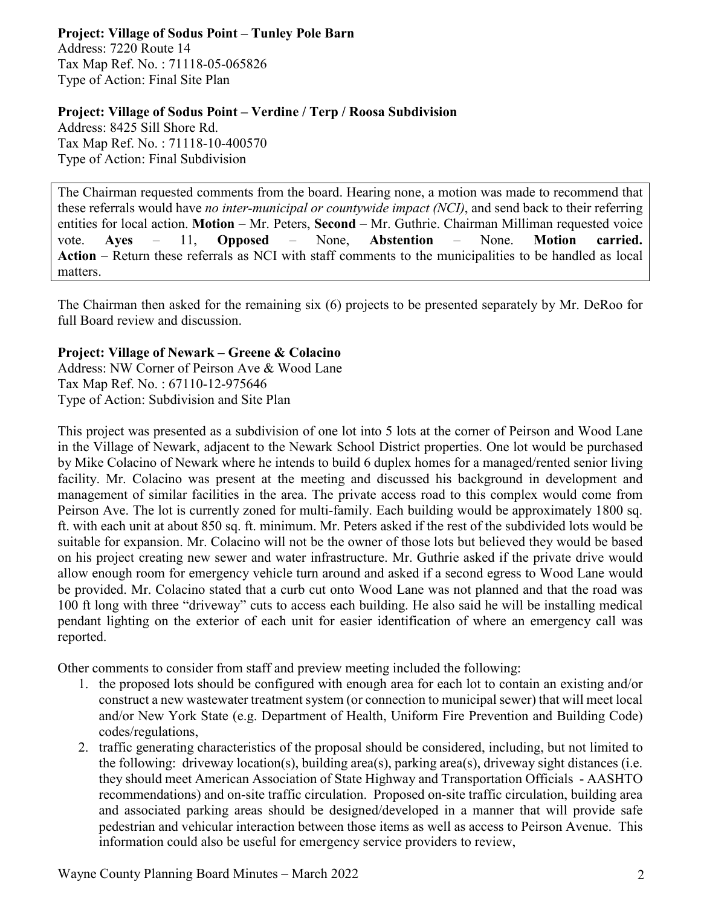**Project: Village of Sodus Point – Tunley Pole Barn** Address: 7220 Route 14 Tax Map Ref. No. : 71118-05-065826 Type of Action: Final Site Plan

#### **Project: Village of Sodus Point – Verdine / Terp / Roosa Subdivision**

Address: 8425 Sill Shore Rd. Tax Map Ref. No. : 71118-10-400570 Type of Action: Final Subdivision

The Chairman requested comments from the board. Hearing none, a motion was made to recommend that these referrals would have *no inter-municipal or countywide impact (NCI)*, and send back to their referring entities for local action. **Motion** – Mr. Peters, **Second** – Mr. Guthrie. Chairman Milliman requested voice vote. **Ayes** – 11, **Opposed** – None, **Abstention** – None. **Motion carried. Action** – Return these referrals as NCI with staff comments to the municipalities to be handled as local matters.

The Chairman then asked for the remaining six (6) projects to be presented separately by Mr. DeRoo for full Board review and discussion.

## **Project: Village of Newark – Greene & Colacino**

Address: NW Corner of Peirson Ave & Wood Lane Tax Map Ref. No. : 67110-12-975646 Type of Action: Subdivision and Site Plan

This project was presented as a subdivision of one lot into 5 lots at the corner of Peirson and Wood Lane in the Village of Newark, adjacent to the Newark School District properties. One lot would be purchased by Mike Colacino of Newark where he intends to build 6 duplex homes for a managed/rented senior living facility. Mr. Colacino was present at the meeting and discussed his background in development and management of similar facilities in the area. The private access road to this complex would come from Peirson Ave. The lot is currently zoned for multi-family. Each building would be approximately 1800 sq. ft. with each unit at about 850 sq. ft. minimum. Mr. Peters asked if the rest of the subdivided lots would be suitable for expansion. Mr. Colacino will not be the owner of those lots but believed they would be based on his project creating new sewer and water infrastructure. Mr. Guthrie asked if the private drive would allow enough room for emergency vehicle turn around and asked if a second egress to Wood Lane would be provided. Mr. Colacino stated that a curb cut onto Wood Lane was not planned and that the road was 100 ft long with three "driveway" cuts to access each building. He also said he will be installing medical pendant lighting on the exterior of each unit for easier identification of where an emergency call was reported.

Other comments to consider from staff and preview meeting included the following:

- 1. the proposed lots should be configured with enough area for each lot to contain an existing and/or construct a new wastewater treatment system (or connection to municipal sewer) that will meet local and/or New York State (e.g. Department of Health, Uniform Fire Prevention and Building Code) codes/regulations,
- 2. traffic generating characteristics of the proposal should be considered, including, but not limited to the following: driveway location(s), building area(s), parking area(s), driveway sight distances (i.e. they should meet American Association of State Highway and Transportation Officials - AASHTO recommendations) and on-site traffic circulation. Proposed on-site traffic circulation, building area and associated parking areas should be designed/developed in a manner that will provide safe pedestrian and vehicular interaction between those items as well as access to Peirson Avenue. This information could also be useful for emergency service providers to review,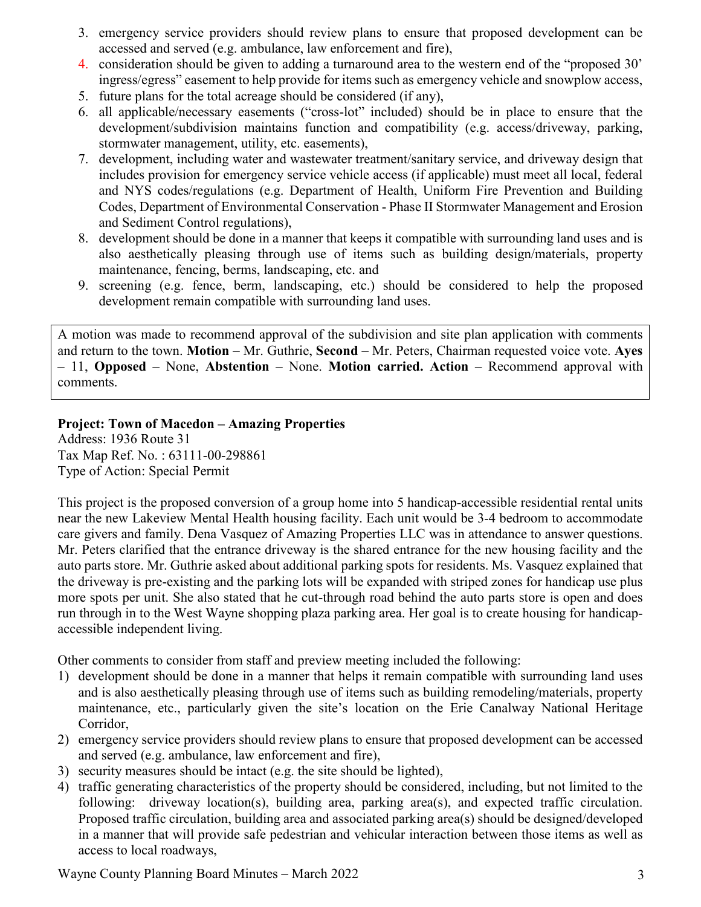- 3. emergency service providers should review plans to ensure that proposed development can be accessed and served (e.g. ambulance, law enforcement and fire),
- 4. consideration should be given to adding a turnaround area to the western end of the "proposed 30' ingress/egress" easement to help provide for items such as emergency vehicle and snowplow access,
- 5. future plans for the total acreage should be considered (if any),
- 6. all applicable/necessary easements ("cross-lot" included) should be in place to ensure that the development/subdivision maintains function and compatibility (e.g. access/driveway, parking, stormwater management, utility, etc. easements),
- 7. development, including water and wastewater treatment/sanitary service, and driveway design that includes provision for emergency service vehicle access (if applicable) must meet all local, federal and NYS codes/regulations (e.g. Department of Health, Uniform Fire Prevention and Building Codes, Department of Environmental Conservation - Phase II Stormwater Management and Erosion and Sediment Control regulations),
- 8. development should be done in a manner that keeps it compatible with surrounding land uses and is also aesthetically pleasing through use of items such as building design/materials, property maintenance, fencing, berms, landscaping, etc. and
- 9. screening (e.g. fence, berm, landscaping, etc.) should be considered to help the proposed development remain compatible with surrounding land uses.

A motion was made to recommend approval of the subdivision and site plan application with comments and return to the town. **Motion** – Mr. Guthrie, **Second** – Mr. Peters, Chairman requested voice vote. **Ayes** – 11, **Opposed** – None, **Abstention** – None. **Motion carried. Action** – Recommend approval with comments.

# **Project: Town of Macedon – Amazing Properties**

Address: 1936 Route 31 Tax Map Ref. No. : 63111-00-298861 Type of Action: Special Permit

This project is the proposed conversion of a group home into 5 handicap-accessible residential rental units near the new Lakeview Mental Health housing facility. Each unit would be 3-4 bedroom to accommodate care givers and family. Dena Vasquez of Amazing Properties LLC was in attendance to answer questions. Mr. Peters clarified that the entrance driveway is the shared entrance for the new housing facility and the auto parts store. Mr. Guthrie asked about additional parking spots for residents. Ms. Vasquez explained that the driveway is pre-existing and the parking lots will be expanded with striped zones for handicap use plus more spots per unit. She also stated that he cut-through road behind the auto parts store is open and does run through in to the West Wayne shopping plaza parking area. Her goal is to create housing for handicapaccessible independent living.

Other comments to consider from staff and preview meeting included the following:

- 1) development should be done in a manner that helps it remain compatible with surrounding land uses and is also aesthetically pleasing through use of items such as building remodeling/materials, property maintenance, etc., particularly given the site's location on the Erie Canalway National Heritage Corridor,
- 2) emergency service providers should review plans to ensure that proposed development can be accessed and served (e.g. ambulance, law enforcement and fire),
- 3) security measures should be intact (e.g. the site should be lighted),
- 4) traffic generating characteristics of the property should be considered, including, but not limited to the following: driveway location(s), building area, parking area(s), and expected traffic circulation. Proposed traffic circulation, building area and associated parking area(s) should be designed/developed in a manner that will provide safe pedestrian and vehicular interaction between those items as well as access to local roadways,

Wayne County Planning Board Minutes – March 2022 3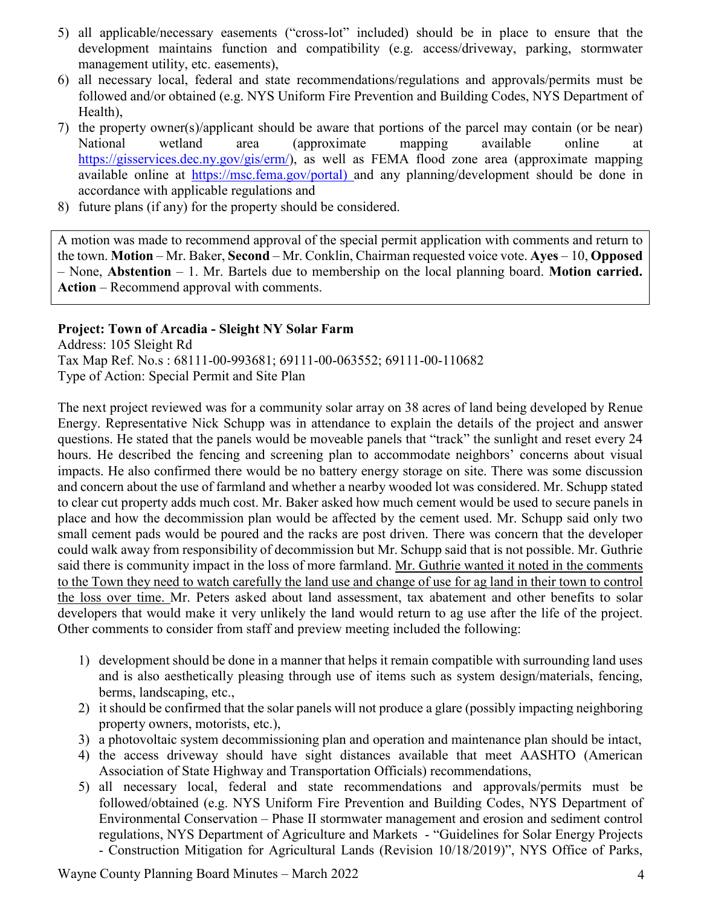- 5) all applicable/necessary easements ("cross-lot" included) should be in place to ensure that the development maintains function and compatibility (e.g. access/driveway, parking, stormwater management utility, etc. easements),
- 6) all necessary local, federal and state recommendations/regulations and approvals/permits must be followed and/or obtained (e.g. NYS Uniform Fire Prevention and Building Codes, NYS Department of Health),
- 7) the property owner(s)/applicant should be aware that portions of the parcel may contain (or be near) National wetland area (approximate mapping available online at [https://gisservices.dec.ny.gov/gis/erm/\)](https://gisservices.dec.ny.gov/gis/erm/), as well as FEMA flood zone area (approximate mapping available online at [https://msc.fema.gov/portal\)](https://msc.fema.gov/portal) and any planning/development should be done in accordance with applicable regulations and
- 8) future plans (if any) for the property should be considered.

A motion was made to recommend approval of the special permit application with comments and return to the town. **Motion** – Mr. Baker, **Second** – Mr. Conklin, Chairman requested voice vote. **Ayes** – 10, **Opposed** – None, **Abstention** – 1. Mr. Bartels due to membership on the local planning board. **Motion carried. Action** – Recommend approval with comments.

#### **Project: Town of Arcadia - Sleight NY Solar Farm**

Address: 105 Sleight Rd Tax Map Ref. No.s : 68111-00-993681; 69111-00-063552; 69111-00-110682 Type of Action: Special Permit and Site Plan

The next project reviewed was for a community solar array on 38 acres of land being developed by Renue Energy. Representative Nick Schupp was in attendance to explain the details of the project and answer questions. He stated that the panels would be moveable panels that "track" the sunlight and reset every 24 hours. He described the fencing and screening plan to accommodate neighbors' concerns about visual impacts. He also confirmed there would be no battery energy storage on site. There was some discussion and concern about the use of farmland and whether a nearby wooded lot was considered. Mr. Schupp stated to clear cut property adds much cost. Mr. Baker asked how much cement would be used to secure panels in place and how the decommission plan would be affected by the cement used. Mr. Schupp said only two small cement pads would be poured and the racks are post driven. There was concern that the developer could walk away from responsibility of decommission but Mr. Schupp said that is not possible. Mr. Guthrie said there is community impact in the loss of more farmland. Mr. Guthrie wanted it noted in the comments to the Town they need to watch carefully the land use and change of use for ag land in their town to control the loss over time. Mr. Peters asked about land assessment, tax abatement and other benefits to solar developers that would make it very unlikely the land would return to ag use after the life of the project. Other comments to consider from staff and preview meeting included the following:

- 1) development should be done in a manner that helps it remain compatible with surrounding land uses and is also aesthetically pleasing through use of items such as system design/materials, fencing, berms, landscaping, etc.,
- 2) it should be confirmed that the solar panels will not produce a glare (possibly impacting neighboring property owners, motorists, etc.),
- 3) a photovoltaic system decommissioning plan and operation and maintenance plan should be intact,
- 4) the access driveway should have sight distances available that meet AASHTO (American Association of State Highway and Transportation Officials) recommendations,
- 5) all necessary local, federal and state recommendations and approvals/permits must be followed/obtained (e.g. NYS Uniform Fire Prevention and Building Codes, NYS Department of Environmental Conservation – Phase II stormwater management and erosion and sediment control regulations, NYS Department of Agriculture and Markets - "Guidelines for Solar Energy Projects - Construction Mitigation for Agricultural Lands (Revision 10/18/2019)", NYS Office of Parks,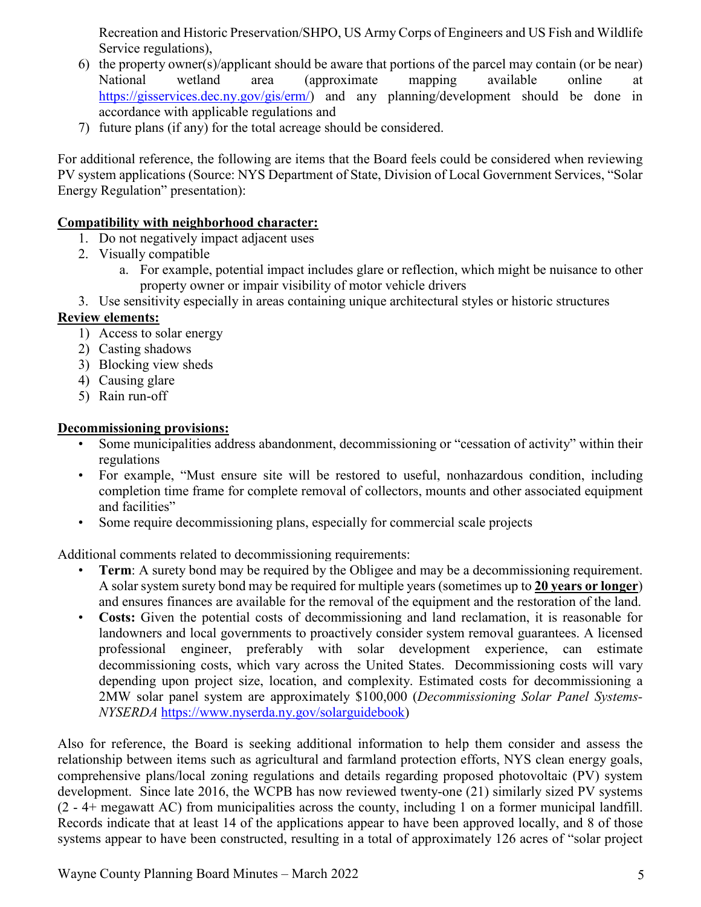Recreation and Historic Preservation/SHPO, US Army Corps of Engineers and US Fish and Wildlife Service regulations),

- 6) the property owner(s)/applicant should be aware that portions of the parcel may contain (or be near) National wetland area (approximate mapping available online at [https://gisservices.dec.ny.gov/gis/erm/\)](https://gisservices.dec.ny.gov/gis/erm/) and any planning/development should be done in accordance with applicable regulations and
- 7) future plans (if any) for the total acreage should be considered.

For additional reference, the following are items that the Board feels could be considered when reviewing PV system applications (Source: NYS Department of State, Division of Local Government Services, "Solar Energy Regulation" presentation):

## **Compatibility with neighborhood character:**

- 1. Do not negatively impact adjacent uses
- 2. Visually compatible
	- a. For example, potential impact includes glare or reflection, which might be nuisance to other property owner or impair visibility of motor vehicle drivers
- 3. Use sensitivity especially in areas containing unique architectural styles or historic structures

# **Review elements:**

- 1) Access to solar energy
- 2) Casting shadows
- 3) Blocking view sheds
- 4) Causing glare
- 5) Rain run-off

# **Decommissioning provisions:**

- Some municipalities address abandonment, decommissioning or "cessation of activity" within their regulations
- For example, "Must ensure site will be restored to useful, nonhazardous condition, including completion time frame for complete removal of collectors, mounts and other associated equipment and facilities"
- Some require decommissioning plans, especially for commercial scale projects

Additional comments related to decommissioning requirements:

- **Term**: A surety bond may be required by the Obligee and may be a decommissioning requirement. A solar system surety bond may be required for multiple years (sometimes up to **20 years or longer**) and ensures finances are available for the removal of the equipment and the restoration of the land.
- **Costs:** Given the potential costs of decommissioning and land reclamation, it is reasonable for landowners and local governments to proactively consider system removal guarantees. A licensed professional engineer, preferably with solar development experience, can estimate decommissioning costs, which vary across the United States. Decommissioning costs will vary depending upon project size, location, and complexity. Estimated costs for decommissioning a 2MW solar panel system are approximately \$100,000 (*Decommissioning Solar Panel Systems-NYSERDA* https://www.nyserda.ny.gov/solarguidebook)

Also for reference, the Board is seeking additional information to help them consider and assess the relationship between items such as agricultural and farmland protection efforts, NYS clean energy goals, comprehensive plans/local zoning regulations and details regarding proposed photovoltaic (PV) system development. Since late 2016, the WCPB has now reviewed twenty-one (21) similarly sized PV systems (2 - 4+ megawatt AC) from municipalities across the county, including 1 on a former municipal landfill. Records indicate that at least 14 of the applications appear to have been approved locally, and 8 of those systems appear to have been constructed, resulting in a total of approximately 126 acres of "solar project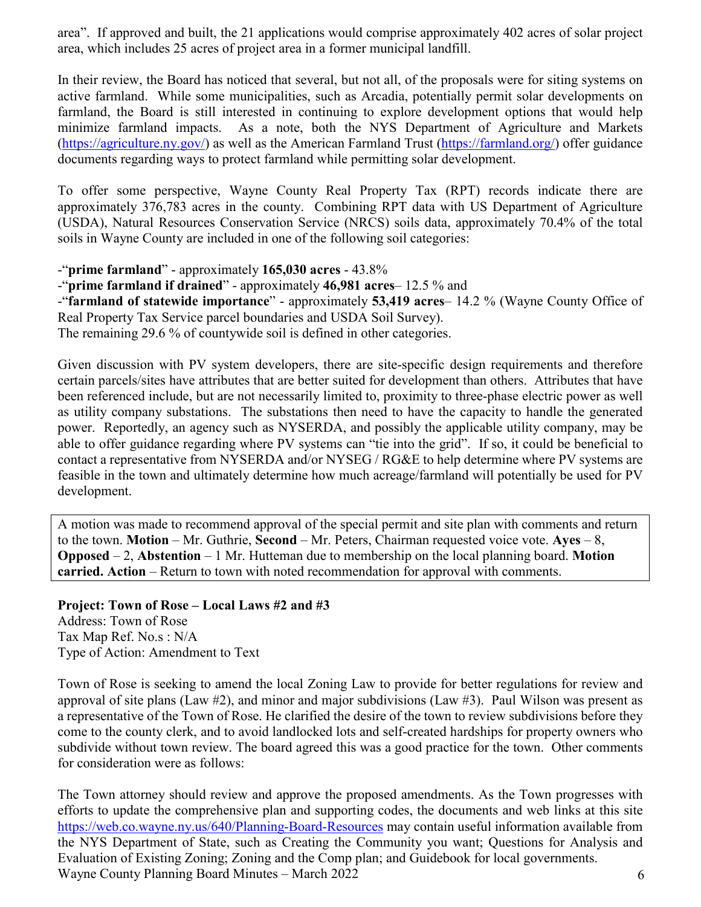area". If approved and built, the 21 applications would comprise approximately 402 acres of solar project area, which includes 25 acres of project area in a former municipal landfill.

In their review, the Board has noticed that several, but not all, of the proposals were for siting systems on active farmland. While some municipalities, such as Arcadia, potentially permit solar developments on farmland, the Board is still interested in continuing to explore development options that would help minimize farmland impacts. As a note, both the NYS Department of Agriculture and Markets [\(https://agriculture.ny.gov/\)](https://agriculture.ny.gov/) as well as the American Farmland Trust [\(https://farmland.org/\)](https://farmland.org/) offer guidance documents regarding ways to protect farmland while permitting solar development.

To offer some perspective, Wayne County Real Property Tax (RPT) records indicate there are approximately 376,783 acres in the county. Combining RPT data with US Department of Agriculture (USDA), Natural Resources Conservation Service (NRCS) soils data, approximately 70.4% of the total soils in Wayne County are included in one of the following soil categories:

-"**prime farmland**" - approximately **165,030 acres** - 43.8%

-"**prime farmland if drained**" - approximately **46,981 acres**– 12.5 % and

-"**farmland of statewide importance**" - approximately **53,419 acres**– 14.2 % (Wayne County Office of Real Property Tax Service parcel boundaries and USDA Soil Survey).

The remaining 29.6 % of countywide soil is defined in other categories.

Given discussion with PV system developers, there are site-specific design requirements and therefore certain parcels/sites have attributes that are better suited for development than others. Attributes that have been referenced include, but are not necessarily limited to, proximity to three-phase electric power as well as utility company substations. The substations then need to have the capacity to handle the generated power. Reportedly, an agency such as NYSERDA, and possibly the applicable utility company, may be able to offer guidance regarding where PV systems can "tie into the grid". If so, it could be beneficial to contact a representative from NYSERDA and/or NYSEG / RG&E to help determine where PV systems are feasible in the town and ultimately determine how much acreage/farmland will potentially be used for PV development.

A motion was made to recommend approval of the special permit and site plan with comments and return to the town. **Motion** – Mr. Guthrie, **Second** – Mr. Peters, Chairman requested voice vote. **Ayes** – 8, **Opposed** – 2, **Abstention** – 1 Mr. Hutteman due to membership on the local planning board. **Motion carried. Action** – Return to town with noted recommendation for approval with comments.

**Project: Town of Rose – Local Laws #2 and #3** Address: Town of Rose Tax Map Ref. No.s : N/A Type of Action: Amendment to Text

Town of Rose is seeking to amend the local Zoning Law to provide for better regulations for review and approval of site plans (Law  $#2$ ), and minor and major subdivisions (Law  $#3$ ). Paul Wilson was present as a representative of the Town of Rose. He clarified the desire of the town to review subdivisions before they come to the county clerk, and to avoid landlocked lots and self-created hardships for property owners who subdivide without town review. The board agreed this was a good practice for the town. Other comments for consideration were as follows:

Wayne County Planning Board Minutes – March 2022 6 The Town attorney should review and approve the proposed amendments. As the Town progresses with efforts to update the comprehensive plan and supporting codes, the documents and web links at this site <https://web.co.wayne.ny.us/640/Planning-Board-Resources> may contain useful information available from the NYS Department of State, such as Creating the Community you want; Questions for Analysis and Evaluation of Existing Zoning; Zoning and the Comp plan; and Guidebook for local governments.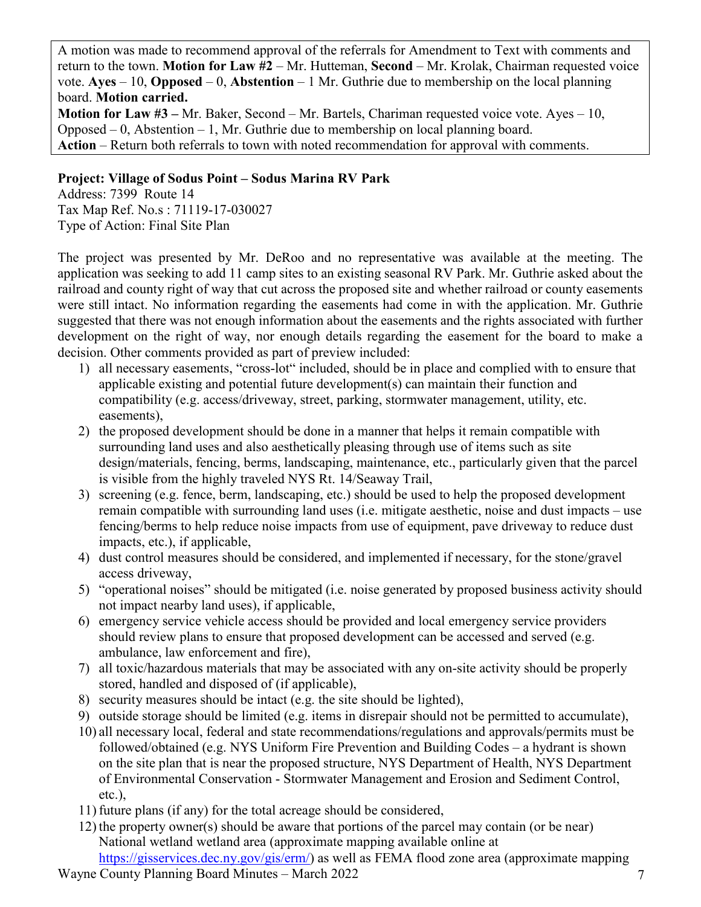A motion was made to recommend approval of the referrals for Amendment to Text with comments and return to the town. **Motion for Law #2** – Mr. Hutteman, **Second** – Mr. Krolak, Chairman requested voice vote. **Ayes** – 10, **Opposed** – 0, **Abstention** – 1 Mr. Guthrie due to membership on the local planning board. **Motion carried.** 

**Motion for Law #3 –** Mr. Baker, Second – Mr. Bartels, Chariman requested voice vote. Ayes – 10, Opposed – 0, Abstention – 1, Mr. Guthrie due to membership on local planning board. **Action** – Return both referrals to town with noted recommendation for approval with comments.

## **Project: Village of Sodus Point – Sodus Marina RV Park**

Address: 7399 Route 14 Tax Map Ref. No.s : 71119-17-030027 Type of Action: Final Site Plan

The project was presented by Mr. DeRoo and no representative was available at the meeting. The application was seeking to add 11 camp sites to an existing seasonal RV Park. Mr. Guthrie asked about the railroad and county right of way that cut across the proposed site and whether railroad or county easements were still intact. No information regarding the easements had come in with the application. Mr. Guthrie suggested that there was not enough information about the easements and the rights associated with further development on the right of way, nor enough details regarding the easement for the board to make a decision. Other comments provided as part of preview included:

- 1) all necessary easements, "cross-lot" included, should be in place and complied with to ensure that applicable existing and potential future development(s) can maintain their function and compatibility (e.g. access/driveway, street, parking, stormwater management, utility, etc. easements),
- 2) the proposed development should be done in a manner that helps it remain compatible with surrounding land uses and also aesthetically pleasing through use of items such as site design/materials, fencing, berms, landscaping, maintenance, etc., particularly given that the parcel is visible from the highly traveled NYS Rt. 14/Seaway Trail,
- 3) screening (e.g. fence, berm, landscaping, etc.) should be used to help the proposed development remain compatible with surrounding land uses (i.e. mitigate aesthetic, noise and dust impacts – use fencing/berms to help reduce noise impacts from use of equipment, pave driveway to reduce dust impacts, etc.), if applicable,
- 4) dust control measures should be considered, and implemented if necessary, for the stone/gravel access driveway,
- 5) "operational noises" should be mitigated (i.e. noise generated by proposed business activity should not impact nearby land uses), if applicable,
- 6) emergency service vehicle access should be provided and local emergency service providers should review plans to ensure that proposed development can be accessed and served (e.g. ambulance, law enforcement and fire),
- 7) all toxic/hazardous materials that may be associated with any on-site activity should be properly stored, handled and disposed of (if applicable),
- 8) security measures should be intact (e.g. the site should be lighted),
- 9) outside storage should be limited (e.g. items in disrepair should not be permitted to accumulate),
- 10) all necessary local, federal and state recommendations/regulations and approvals/permits must be followed/obtained (e.g. NYS Uniform Fire Prevention and Building Codes – a hydrant is shown on the site plan that is near the proposed structure, NYS Department of Health, NYS Department of Environmental Conservation - Stormwater Management and Erosion and Sediment Control, etc.),
- 11) future plans (if any) for the total acreage should be considered,
- 12) the property owner(s) should be aware that portions of the parcel may contain (or be near) National wetland wetland area (approximate mapping available online at [https://gisservices.dec.ny.gov/gis/erm/\)](https://gisservices.dec.ny.gov/gis/erm/) as well as FEMA flood zone area (approximate mapping
- Wayne County Planning Board Minutes March 2022 7